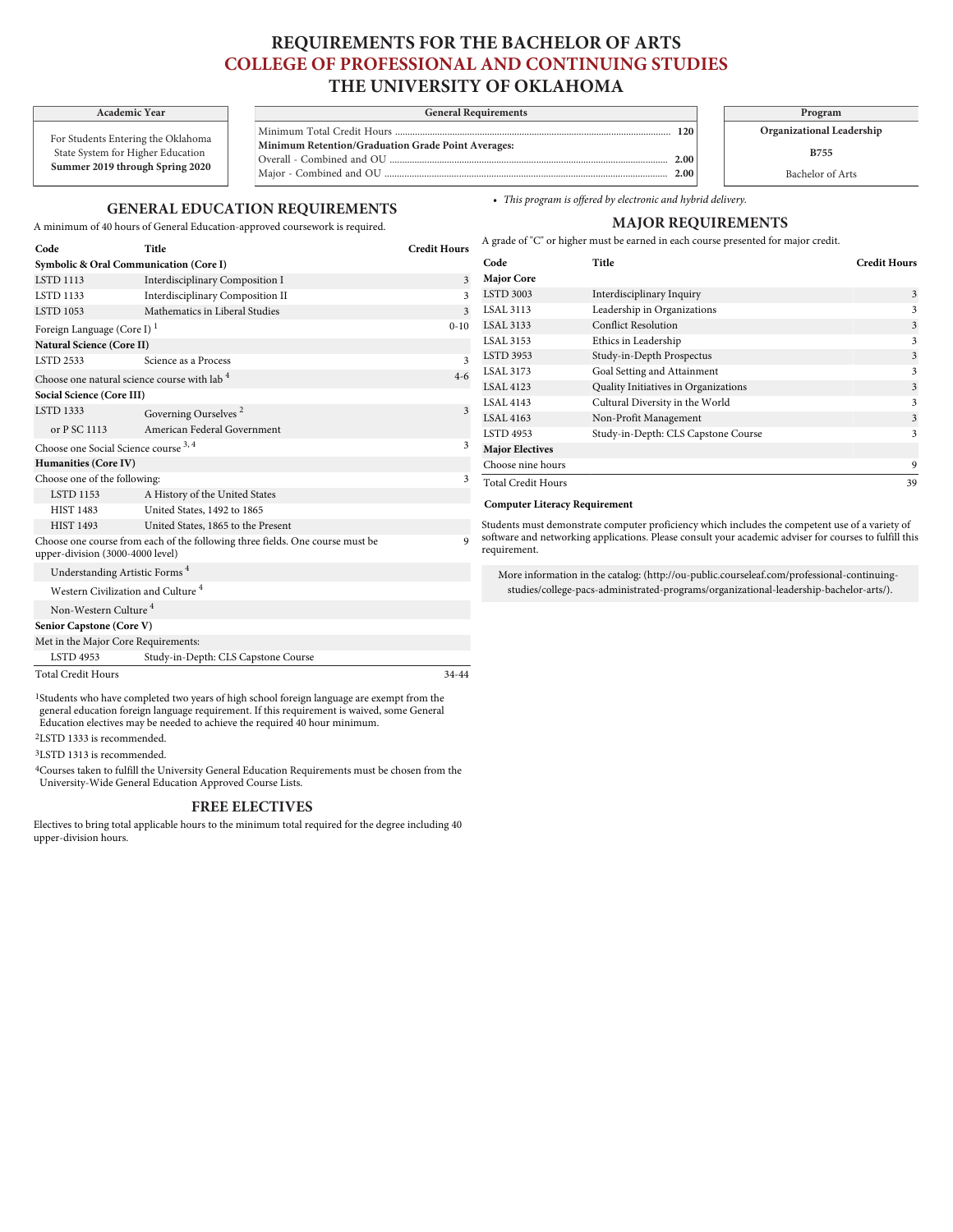# **REQUIREMENTS FOR THE BACHELOR OF ARTS COLLEGE OF PROFESSIONAL AND CONTINUING STUDIES THE UNIVERSITY OF OKLAHOMA**

## **Academic Year General Requirements Program**

Minimum Total Credit Hours ............................................................................................................... **120 Minimum Retention/Graduation Grade Point Averages:** Overall - Combined and OU ................................................................................................................ **2.00** Major - Combined and OU .....

### **GENERAL EDUCATION REQUIREMENTS**

**Code Title Credit Hours**

A minimum of 40 hours of General Education-approved coursework is required.

For Students Entering the Oklahoma State System for Higher Education **Summer 2019 through Spring 2020**

| • This program is offered by electronic and hybrid delivery. |  |
|--------------------------------------------------------------|--|
|                                                              |  |

# **MAJOR REQUIREMENTS**

**Organizational Leadership B755** Bachelor of Arts

A grade of "C" or higher must be earned in each course presented for major credit.

| Symbolic & Oral Communication (Core I)                                                                            |                                              |                  | Code                                                                                                                   | Title                                                                                           | <b>Credit Hours</b> |
|-------------------------------------------------------------------------------------------------------------------|----------------------------------------------|------------------|------------------------------------------------------------------------------------------------------------------------|-------------------------------------------------------------------------------------------------|---------------------|
| <b>LSTD 1113</b>                                                                                                  | Interdisciplinary Composition I              | $\overline{3}$   | <b>Major Core</b>                                                                                                      |                                                                                                 |                     |
| <b>LSTD 1133</b>                                                                                                  | Interdisciplinary Composition II             | $\mathbf{3}$     | <b>LSTD 3003</b>                                                                                                       | Interdisciplinary Inquiry                                                                       | 3                   |
| <b>LSTD 1053</b>                                                                                                  | Mathematics in Liberal Studies               | $\mathbf{3}$     | <b>LSAL 3113</b>                                                                                                       | Leadership in Organizations                                                                     | 3                   |
| Foreign Language (Core I) <sup>1</sup>                                                                            |                                              | $0 - 10$         | <b>LSAL 3133</b>                                                                                                       | <b>Conflict Resolution</b>                                                                      |                     |
| <b>Natural Science (Core II)</b>                                                                                  |                                              |                  | <b>LSAL 3153</b>                                                                                                       | Ethics in Leadership                                                                            |                     |
| <b>LSTD 2533</b>                                                                                                  | Science as a Process                         | $\mathbf{3}$     | <b>LSTD 3953</b>                                                                                                       | Study-in-Depth Prospectus                                                                       |                     |
|                                                                                                                   | Choose one natural science course with lab 4 | $4 - 6$          | <b>LSAL 3173</b>                                                                                                       | Goal Setting and Attainment                                                                     |                     |
| Social Science (Core III)                                                                                         |                                              | <b>LSAL 4123</b> | Quality Initiatives in Organizations                                                                                   |                                                                                                 |                     |
| <b>LSTD 1333</b>                                                                                                  |                                              | 3                | <b>LSAL 4143</b>                                                                                                       | Cultural Diversity in the World                                                                 | 3                   |
|                                                                                                                   | Governing Ourselves <sup>2</sup>             |                  | <b>LSAL 4163</b>                                                                                                       | Non-Profit Management                                                                           | 3                   |
| or P SC 1113                                                                                                      | American Federal Government                  | 3                | <b>LSTD 4953</b>                                                                                                       | Study-in-Depth: CLS Capstone Course                                                             | 3                   |
| Choose one Social Science course 3, 4                                                                             |                                              |                  | <b>Major Electives</b>                                                                                                 |                                                                                                 |                     |
| Humanities (Core IV)                                                                                              |                                              |                  | Choose nine hours                                                                                                      |                                                                                                 | 9                   |
| Choose one of the following:                                                                                      |                                              | 3                |                                                                                                                        | <b>Total Credit Hours</b>                                                                       |                     |
| <b>LSTD 1153</b>                                                                                                  | A History of the United States               |                  |                                                                                                                        |                                                                                                 |                     |
| <b>HIST 1483</b>                                                                                                  | United States, 1492 to 1865                  |                  | <b>Computer Literacy Requirement</b>                                                                                   |                                                                                                 |                     |
| <b>HIST 1493</b>                                                                                                  | United States, 1865 to the Present           |                  |                                                                                                                        | Students must demonstrate computer proficiency which includes the competent use of a variety of |                     |
| Choose one course from each of the following three fields. One course must be<br>upper-division (3000-4000 level) |                                              |                  | software and networking applications. Please consult your academic adviser for courses to fulfill this<br>requirement. |                                                                                                 |                     |
| Understanding Artistic Forms <sup>4</sup>                                                                         |                                              |                  | More information in the catalog: (http://ou-public.courseleaf.com/professional-continuing-                             |                                                                                                 |                     |
| Western Civilization and Culture <sup>4</sup>                                                                     |                                              |                  | studies/college-pacs-administrated-programs/organizational-leadership-bachelor-arts/).                                 |                                                                                                 |                     |
| Non-Western Culture <sup>4</sup>                                                                                  |                                              |                  |                                                                                                                        |                                                                                                 |                     |
| Senior Capstone (Core V)                                                                                          |                                              |                  |                                                                                                                        |                                                                                                 |                     |
| Met in the Major Core Requirements:                                                                               |                                              |                  |                                                                                                                        |                                                                                                 |                     |
| <b>LSTD 4953</b>                                                                                                  | Study-in-Depth: CLS Capstone Course          |                  |                                                                                                                        |                                                                                                 |                     |

Total Credit Hours 34-44

1Students who have completed two years of high school foreign language are exempt from the general education foreign language requirement. If this requirement is waived, some General Education electives may be needed to achieve the required 40 hour minimum.

2LSTD 1333 is recommended. 3LSTD 1313 is recommended.

4Courses taken to fulfill the University General Education Requirements must be chosen from the University-Wide General Education Approved Course Lists.

#### **FREE ELECTIVES**

Electives to bring total applicable hours to the minimum total required for the degree including 40 upper-division hours.